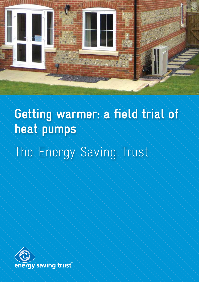

# **Getting warmer: a field trial of heat pumps**

The Energy Saving Trust

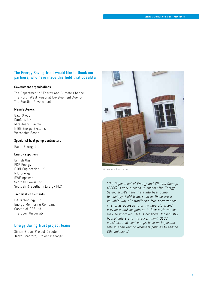## **The Energy Saving Trust would like to thank our partners, who have made this field trial possible:**

#### **Government organisations**

The Department of Energy and Climate Change The North West Regional Development Agency The Scottish Government

#### **Manufacturers**

Baxi Group Danfoss UK Mitsubishi Electric NIBE Energy Systems Worcester Bosch

#### **Specialist heat pump contractors**

Earth Energy Ltd

#### **Energy suppliers**

British Gas EDF Energy E.ON Engineering UK NIE Energy RWE npower Scottish Power Ltd Scottish & Southern Energy PLC

#### **Technical consultants**

EA Technology Ltd Energy Monitoring Company Gastec at CRE Ltd The Open University

## **Energy Saving Trust project team:**

Simon Green, Project Director Jaryn Bradford, Project Manager



Air source heat pump

"The Department of Energy and Climate Change (DECC) is very pleased to support the Energy Saving Trust's field trials into heat pump technology. Field trials such as these are a valuable way of establishing true performance in situ, as opposed to in the laboratory, and provide useful insights as to how performance may be improved. This is beneficial for industry, householders and the Government. DECC considers that heat pumps have an important role in achieving Government policies to reduce  $CO<sub>2</sub>$  emissions"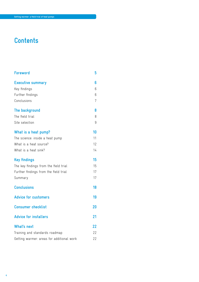# **Contents**

| <b>Foreword</b>                           | 5  |  |
|-------------------------------------------|----|--|
| <b>Executive summary</b>                  | 6  |  |
| Key findings                              | 6  |  |
| Further findings                          | 6  |  |
| Conclusions                               | 7  |  |
| The background                            | 8  |  |
| The field trial                           | 8  |  |
| Site selection                            | 9  |  |
| What is a heat pump?                      | 10 |  |
| The science: inside a heat pump           | 11 |  |
| What is a heat source?                    | 12 |  |
| What is a heat sink?                      | 14 |  |
| <b>Key findings</b>                       | 15 |  |
| The key findings from the field trial     | 15 |  |
| Further findings from the field trial     | 17 |  |
| Summary                                   | 17 |  |
| <b>Conclusions</b>                        | 18 |  |
| <b>Advice for customers</b>               | 19 |  |
| <b>Consumer checklist</b>                 | 20 |  |
| <b>Advice for installers</b>              | 21 |  |
| What's next                               | 22 |  |
| Training and standards roadmap            | 22 |  |
| Getting warmer: areas for additional work |    |  |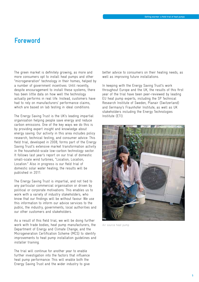# **Foreword**

The green market is definitely growing, as more and more consumers opt to install heat pumps and other "microgeneration" technology in their homes, helped by a number of government incentives. Until recently, despite encouragement to install these systems, there has been little data on how well the technology actually performs in real life. Instead, customers have had to rely on manufacturers' performance claims, which are based on lab testing in ideal conditions.

The Energy Saving Trust is the UK's leading impartial organisation helping people save energy and reduce carbon emissions. One of the key ways we do this is by providing expert insight and knowledge about energy saving. Our activity in this area includes policy research, technical testing, and consumer advice. This field trial, developed in 2008, forms part of the Energy Saving Trust's extensive market transformation activity in the household-scale low-carbon technology sector. It follows last year's report on our trial of domestic small-scale wind turbines, "Location, Location, Location." Also in progress is our field trial of domestic solar water heating; the results will be published in 2011.

The Energy Saving Trust is impartial, and not tied to any particular commercial organisation or driven by political or corporate motivations. This enables us to work with a variety of industry stakeholders, who know that our findings will be without favour. We use this information to inform our advice services to the public, the industry, governments, local authorities and our other customers and stakeholders.

As a result of this field trial, we will be doing further work with trade bodies, heat pump manufacturers, the Department of Energy and Climate Change, and the Microgeneration Certification Scheme (MCS) to identify improvements to heat pump installation guidelines and installer training.

The trial will continue for another year to enable further investigation into the factors that influence heat pump performance. This will enable both the Energy Saving Trust and the wider industry to give

better advice to consumers on their heating needs, as well as improving future installations.

In keeping with the Energy Saving Trust's work throughout Europe and the UK, the results of this first year of the trial have been peer-reviewed by leading EU heat pump experts, including the SP Technical Research Institute of Sweden, Planair (Switzerland) and Germany's Fraunhofer Institute, as well as UK stakeholders including the Energy Technologies Institute (ETI).



Air source heat pump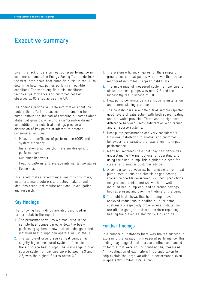# **Executive summary**

Given the lack of data on heat pump performance in customers' homes, the Energy Saving Trust undertook the first large-scale heat pump field trial in the UK to determine how heat pumps perform in real-life conditions. The year-long field trial monitored technical performance and customer behaviour observed at 83 sites across the UK.

The findings provide valuable information about the factors that affect the success of a domestic heat pump installation. Instead of revealing outcomes along statistical grounds, or acting as a "brand-vs-brand" competition, the field trial findings provide a discussion of key points of interest to potential consumers, including:

- Measured coefficient of performance (COP) and system efficiency
- Installation practices (both system design and performance)
- Customer behaviour
- Heating patterns and average internal temperatures
- Economics

This report makes recommendations for consumers, installers, manufacturers and policy makers, and identifies areas that require additional investigation and research.

# **Key findings**

The following key findings are also described in further detail in the report:

- **1.** The performance values we monitored in the sample heat pumps varied widely; the bestperforming systems show that well-designed and installed heat pumps can operate well in the UK.
- **2.** The sample of ground source heat pumps had slightly higher measured system efficiencies than the air source heat pumps. The 'mid-range' ground source system efficiencies were between 2.3 and 2.5, with the highest figures above 3.0.
- **3.** The system efficiency figures for the sample of ground source heat pumps were lower than those monitored in similar European field trials.
- **4.** The 'mid-range' of measured system efficiencies for air source heat pumps was near 2.2 and the highest figures in excess of 3.0.
- **5.** Heat pump performance is sensitive to installation and commissioning practices.
- **6.** The householders in our field trial sample reported good levels of satisfaction with both space heating and hot water provision. There was no significant difference between users' satisfaction with ground and air source systems.
- **7.** Heat pump performance can vary considerably from one installation to another and customer behaviour is a variable that was shown to impact performance.
- **8.** Many householders said that they had difficulties understanding the instructions for operating and using their heat pump. This highlights a need for clearer and simpler customer advice.
- **9.** A comparison between carbon emissions from heat pump installations and electric or gas heating (based on the UK government's current predictions for grid decarbonisation) shows that a wellinstalled heat pump can lead to carbon savings, both at present and over the lifetime of the pump.
- **10.** The field trial shows that heat pumps have achieved reductions in heating bills for some customers – especially those whose installations are off the gas grid and are therefore replacing heating fuels such as electricity, LPG and oil.

# **Further findings**

In a number of instances there was limited success in explaining the variation in measured performance. This finding may suggest that there are influences caused by factors that were not, or could not be, measured. An investigation of each site will be undertaken to help explain the large variation in performance, even in apparently similar installations.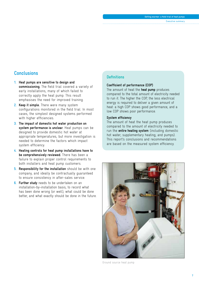Executive summary

# **Conclusions**

- **1. Heat pumps are sensitive to design and commissioning.** The field trial covered a variety of early installations, many of which failed to correctly apply the heat pump. This result emphasises the need for improved training.
- **2. Keep it simple.** There were many system configurations monitored in the field trial. In most cases, the simplest designed systems performed with higher efficiencies.
- **3. The impact of domestic hot water production on system performance is unclear.** Heat pumps can be designed to provide domestic hot water at appropriate temperatures, but more investigation is needed to determine the factors which impact system efficiency.
- **4. Heating controls for heat pump installations have to be comprehensively reviewed.** There has been a failure to explain proper control requirements to both installers and heat pump customers.
- **5. Responsibility for the installation** should be with one company, and ideally be contractually guaranteed to ensure consistency in after-sales service.
- **6. Further study** needs to be undertaken on an installation-by-installation basis, to record what has been done wrong (or well), what could be done better, and what exactly should be done in the future.

# **Definitions**

#### **Coefficient of performance (COP)**

The amount of heat the **heat pump** produces compared to the total amount of electricity needed to run it. The higher the COP, the less electrical energy is required to deliver a given amount of heat: a high COP shows good performance, and a low COP shows poor performance.

#### **System efficiency**

The amount of heat the heat pump produces compared to the amount of electricity needed to run the **entire heating system** (including domestic hot water; supplementary heating; and pumps). This report's conclusions and recommendations are based on the measured system efficiency.



Ground source heat pump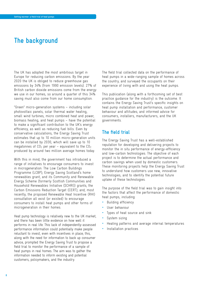# **The background**

The UK has adopted the most ambitious target in Europe for reducing carbon emissions. By the year 2020 the UK is obliged to reduce greenhouse gas emissions by 34% (from 1990 emission levels). 27% of British carbon dioxide emissions come from the energy we use in our homes, so around a quarter of this 34% saving must also come from our home consumption.

"Green" micro-generation systems – including solar photovoltaic panels, solar thermal water heating, small wind turbines, micro combined heat and power, biomass heating, and heat pumps – have the potential to make a significant contribution to the UK's energy efficiency, as well as reducing fuel bills. Even by conservative calculations, the Energy Saving Trust estimates that up to 10 million micro-generation units can be installed by 2030, which will save up to 10 megatonnes of  $CO<sub>2</sub>$  per year – equivalent to the  $CO<sub>2</sub>$ produced by around two million average homes today.

With this in mind, the government has introduced a range of initiatives to encourage consumers to invest in microgeneration. The Low Carbon Buildings Programme (LCBP); Energy Saving Scotland's home renewables grant, and its Community and Renewable Energy Scheme (formerly Scottish Communities and Household Renewables Initiative (SCHRI)) grants; the Carbon Emissions Reduction Target (CERT); and, most recently, the proposed Renewable Heat Incentive (RHI) consultation all exist (or existed) to encourage consumers to install heat pumps and other forms of microgeneration in their homes.

Heat pump technology is relatively new to the UK market, and there has been little evidence on how well it performs in real life. This lack of independently-assessed performance information could potentially make people reluctant to invest, even with incentives in place; this, along with the need for information to back up consumer advice, prompted the Energy Saving Trust to propose a field trial to monitor the performance of a sample of heat pumps in real homes. The aim was to gather the information needed to inform existing and potential customers, policymakers, and the industry.

The field trial collected data on the performance of heat pumps in a wide-ranging sample of homes across the country, and surveyed the occupants on their experience of living with and using the heat pumps.

This publication (along with a forthcoming set of best practice guidance for the industry) is the outcome. It contains the Energy Saving Trust's specific insights on heat pump installation and performance, customer behaviour and attitudes; and informed advice for consumers, installers, manufacturers, and the UK governments.

# **The field trial**

The Energy Saving Trust has a well-established reputation for developing and delivering projects to monitor the in situ performance of energy-efficiency and low-carbon technologies. The objective of each project is to determine the actual performance and carbon savings when used by domestic customers. These monitoring projects help the Energy Saving Trust to understand how customers use new, innovative technologies, and to identify the potential future uptake of these technologies.

The purpose of the field trial was to gain insight into the factors that affect the performance of domestic heat pumps, including:

- Building efficiency
- User behaviour
- Types of heat source and sink
- System sizing
- Heating patterns and average internal temperatures
- Installation practices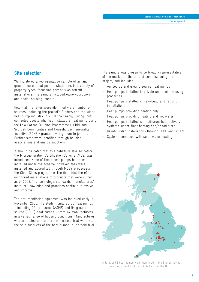# **Site selection**

We monitored a representative sample of air and ground source heat pump installations in a variety of property types, focussing primarily on retrofit installations. The sample included owner-occupiers and social housing tenants.

Potential trial sites were identified via a number of sources, including the project's funders and the wider heat pump industry. In 2008 the Energy Saving Trust contacted people who had installed a heat pump using the Low Carbon Building Programme (LCBP) and Scottish Communities and Householder Renewable Incentive (SCHRI) grants, inviting them to join the trial. Further sites were identified through housing associations and energy suppliers.

It should be noted that this field trial started before the Microgeneration Certification Scheme (MCS) was introduced. None of these heat pumps had been installed under the scheme; however, they were installed and accredited through MCS's predecessor, the Clear Skies programme. The field trial therefore monitored installations of products that were current as of 2008. The technology, standards, manufacturer/ installer knowledge and practices continue to evolve and improve.

The first monitoring equipment was installed early in November 2008. The study monitored 83 heat pumps – including 29 air source (ASHP) and 54 ground source (GSHP) heat pumps – from 14 manufacturers, in a varied range of housing conditions. Manufactures who are listed as partners in the field trial were *not* the sole suppliers of the heat pumps in the field trial.

The sample was chosen to be broadly representative of the market at the time of commissioning the project, and included:

- Air source and ground source heat pumps
- Heat pumps installed in private and social housing properties
- Heat pumps installed in new-build and retrofit installations
- Heat pumps providing heating only
- Heat pumps providing heating and hot water
- Heat pumps installed with different heat delivery systems: under-floor heating and/or radiators
- Grant-funded installations through LCBP and SCHRI
- Systems combined with solar water heating



A total of 83 heat pumps were monitored in the Energy Saving Trust heat pump field trial, distributed across the UK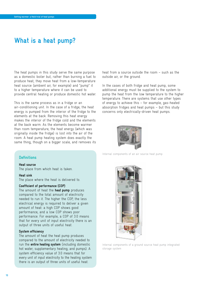# **What is a heat pump?**

The heat pumps in this study serve the same purpose as a domestic boiler but, rather than burning a fuel to produce heat, they move heat from a low-temperature heat source (ambient air, for example) and "pump" it to a higher temperature where it can be used to provide central heating or produce domestic hot water.

This is the same process as in a fridge or an air-conditioning unit. In the case of a fridge, the heat energy is pumped from the interior of the fridge to the elements at the back. Removing this heat energy makes the interior of the fridge cold and the elements at the back warm. As the elements become warmer than room temperature, the heat energy (which was originally inside the fridge) is lost into the air of the room. A heat pump heating system does exactly the same thing, though on a bigger scale, and removes its

heat from a source outside the room – such as the outside air, or the ground.

In the cases of both fridge and heat pump, some additional energy must be supplied to the system to pump the heat from the low temperature to the higher temperature. There are systems that use other types of energy to achieve this – for example, gas-heated absorption fridges and heat pumps – but this study concerns only electrically-driven heat pumps.



Internal components of an air source heat pump



# **Heat source**

The place from which heat is taken.

#### **Heat sink**

The place where the heat is delivered to.

## **Coefficient of performance (COP)**

The amount of heat the **heat pump** produces compared to the total amount of electricity needed to run it. The higher the COP, the less electrical energy is required to deliver a given amount of heat: a high COP shows good performance, and a low COP shows poor performance. For example, a COP of 3.0 means that for every unit of input electricity there is an output of three units of useful heat.

#### **System efficiency**

The amount of heat the heat pump produces compared to the amount of electricity needed to run the **entire heating system** (including domestic hot water; supplementary heating; and pumps). A system efficiency value of 3.0 means that for every unit of input electricity to the heating system there is an output of three units of useful heat.



Internal components of a ground source heat pump integrated storage system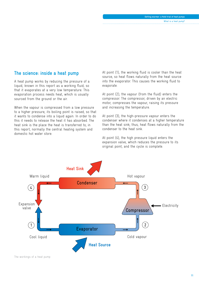# **The science: inside a heat pump**

A heat pump works by reducing the pressure of a liquid, known in this report as a working fluid, so that it evaporates at a very low temperature. This evaporation process needs heat, which is usually sourced from the ground or the air.

When the vapour is compressed from a low pressure to a higher pressure, its boiling point is raised, so that it wants to condense into a liquid again. In order to do this it needs to release the heat it has absorbed. The heat sink is the place the heat is transferred to; in this report, normally the central heating system and domestic hot water store.

At point (1), the working fluid is cooler than the heat source, so heat flows naturally from the heat source into the evaporator. This causes the working fluid to evaporate.

At point (2), the vapour (from the fluid) enters the compressor. The compressor, driven by an electric motor, compresses the vapour, raising its pressure and increasing the temperature.

At point (3), the high-pressure vapour enters the condenser where it condenses at a higher temperature than the heat sink; thus, heat flows naturally from the condenser to the heat sink.

At point (4), the high pressure liquid enters the expansion valve, which reduces the pressure to its original point, and the cycle is complete.

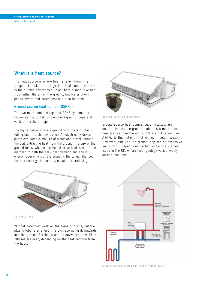# **Getting warmer: a field trial of heat pumps**

#### What is a heat pump?

# **What is a heat source?**

The heat source is where heat is taken from. In a fridge, it is inside the fridge; in a heat pump system it is the outside environment. Most heat pumps take heat from either the air or the ground, but water (from ponds, rivers and boreholes) can also be used.

## **Ground source heat pumps (GSHPs)**

The two most common types of GSHP systems are known as horizontal (or trenched) ground loops and vertical borehole loops.

The figure below shows a ground loop made of plastic tubing laid in a shallow trench. An electrically-driven pump circulates a mixture of water and glycol through the coil, extracting heat from the ground. The size of the ground loops, whether horizontal or vertical, needs to be matched to both the peak heat demand and annual energy requirement of the property. The longer the loop, the more energy the pump is capable of producing.



Borehole, or vertical ground loop

Ground source heat pumps, once installed, are unobtrusive. As the ground maintains a more constant temperature than the air, GSHPs are not prone, like ASHPs, to fluctuations in efficiency in colder weather. However, installing the ground loop can be expensive, and sizing it depends on geological factors – a real issue in the UK, where local geology varies widely across locations.



Horizontal loop

Vertical boreholes work on the same principle, but the plastic tube is arranged in a U-shape going downwards into the ground. Boreholes can be anywhere from 15 to 100 meters deep, depending on the heat demand from the house.

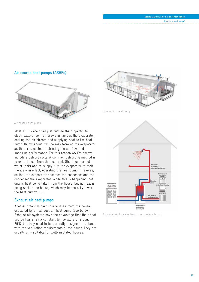#### **Getting warmer: a field trial of heat pumps**

What is a heat pump?

## **Air source heat pumps (ASHPs)**



Air source heat pump

Most ASHPs are sited just outside the property. An electrically-driven fan draws air across the evaporator, cooling the air stream and supplying heat to the heat pump. Below about 7°C, ice may form on the evaporator as the air is cooled, restricting the air-flow and impairing performance. For this reason ASHPs always include a defrost cycle. A common defrosting method is to extract heat from the heat sink (the house or hot water tank) and re-supply it to the evaporator to melt the ice – in effect, operating the heat pump in reverse, so that the evaporator becomes the condenser and the condenser the evaporator. While this is happening, not only is heat being taken from the house, but no heat is being sent to the house, which may temporarily lower the heat pump's COP.

## **Exhaust air heat pumps**

Another potential heat source is air from the house, extracted by an exhaust air heat pump (see below). Exhaust air systems have the advantage that their heat source has a fairly constant temperature of around 20°C, but they need to be carefully designed to balance with the ventilation requirements of the house. They are usually only suitable for well-insulated houses.



Exhaust air heat pump



A typical air to water heat pump system layout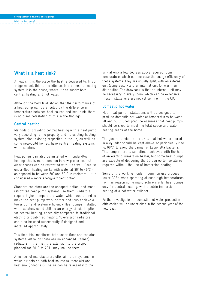#### **Getting warmer: a field trial of heat pumps** What is a heat pump?

# **What is a heat sink?**

A heat sink is the place the heat is delivered to. In our fridge model, this is the kitchen. In a domestic heating system it is the house, where it can supply both central heating and hot water.

Although the field trial shows that the performance of a heat pump can be affected by the difference in temperature between heat source and heat sink, there is no clear correlation of this in the findings.

## **Central heating**

Methods of providing central heating with a heat pump vary according to the property and its existing heating system. Most existing properties in the UK, as well as some new-build homes, have central heating systems with radiators.

Heat pumps can also be installed with under-floor heating; this is more common in new properties, but older houses can be retrofitted with it as well. Because under-floor heating works with water at 30° to 40°C – as opposed to between 50° and 60°C in radiators – it is considered a more energy-efficient option.

Standard radiators are the cheapest option, and most retrofitted heat pump systems use them. Radiators require higher-temperature water, which would tend to make the heat pump work harder and thus achieve a lower COP and system efficiency. Heat pumps installed with radiators could still be an energy-efficient option for central heating, especially compared to traditional electric or coal-fired heating. "Oversized" radiators can also be used successfully if designed and installed appropriately.

This field trial monitored both under-floor and radiator systems. Although there are no enhanced (fanned) radiators in the trial, the extension to the project planned for 2010 to 2011 may include them.

A number of manufacturers offer air-to-air systems, in which air acts as both heat source (outdoor air) and heat sink (indoor air). The air can be released into the

sink at only a few degrees above required room temperature, which can increase the energy efficiency of these systems. They are usually split, with an external unit (compressor) and an internal unit for warm air distribution. The drawback is that an internal unit may be necessary in every room, which can be expensive. These installations are not yet common in the UK.

## **Domestic hot water**

Most heat pump installations will be designed to produce domestic hot water at temperatures between 50 and 55°C. Good practice assumes that heat pumps should be sized to meet the total space and water heating needs of the home.

The general advice in the UK is that hot water stored in a cylinder should be kept above, or periodically rise to, 60°C, to avoid the danger of Legionella bacteria. This temperature is sometimes achieved with the help of an electric immersion heater, but some heat pumps are capable of delivering the 60 degree temperatures required without the use of immersion heating.

Some of the working fluids in common use produce lower COPs when operating at such high temperatures. For this reason some manufacturers offer heat pumps only for central heating, with electric immersion heating of a hot water cylinder.

Further investigation of domestic hot water production efficiencies will be undertaken in the second year of the field trial.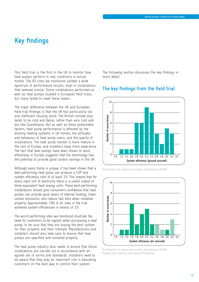# **Key findings**

This field trial is the first in the UK to monitor how heat pumps perform in real conditions in actual homes. The 83 sites we monitored yielded a wide spectrum of performance results, even in installations that seemed similar. Some installations performed as well as heat pumps studied in European field trials, but many failed to meet these levels.

The major difference between the UK and European field trial findings is that the UK has particularly old and inefficient housing stock. The British climate also tends to be cold and damp, rather than very cold and dry like Scandinavia. But as well as these predictable factors, heat pump performance is affected by the existing heating systems in UK homes, the attitudes and behaviour of heat pump users, and the quality of installations. The heat pump market is more mature in the rest of Europe, and installers have more experience. The fact that heat pumps have been shown to work effectively in Europe suggests that the technology has the potential to provide good carbon savings in the UK.

Although every home is unique, it has been shown that a well-performing heat pump can produce a COP and system efficiency ratio of at least 3.0. This means that for every input unit of electricity there is a useful output of three equivalent heat energy units. These best-performing installations should give consumers confidence that heat pumps can provide good levels of internal heating, lower carbon emissions, and reduce fuel bills when installed properly. Approximately 13% of all sites in the trial achieved system efficiencies in excess of 3.0.

The worst-performing sites we monitored illustrate the need for customers to be vigilant when purchasing a heat pump, to be sure that they are buying the best system for their property and their lifestyle. Manufacturers and installers should also take care to ensure that heat pumps are specified and installed properly.

The heat pump industry also needs to ensure that future installations are carried out in accordance with an agreed set of norms and standards. Installers need to be aware that they play an important role in educating customers on the best way to control their system.

The following section discusses the key findings in more detail.

# **The key findings from the field trial**



Distribution of measured system efficiencies (GSHP)



Distribution of measured system efficiencies (ASHP) Shaded bars denote estimated efficiencies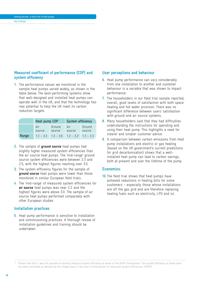#### **Getting warmer: a field trial of heat pumps** Key findings

## **Measured coefficient of performance (COP) and system efficiency**

**1.** The performance values we monitored in the sample heat pumps varied widely, as shown in the table below. The best-performing systems show that well-designed and installed heat pumps can operate well in the UK, and that the technology has real potential to help the UK meet its carbon reduction targets.

|       | Heat pump COP |                  | System efficiency     |                  |
|-------|---------------|------------------|-----------------------|------------------|
|       | Air<br>source | Ground<br>source | Air<br>source         | Ground<br>source |
| Range | $1.2 - 3.3$   | $13 - 36$        | $12 - 32^{1}$ 13 - 33 |                  |

- **2.** The sample of **ground source** heat pumps had slightly higher measured system efficiencies than the air source heat pumps. The 'mid-range' ground source system efficiencies were between 2.3 and 2.5, with the highest figures reaching over 3.0.
- **3.** The system efficiency figures for the sample of **ground source** heat pumps were lower than those monitored in similar European field trials.
- **4.** The 'mid-range' of measured system efficiencies for **air source** heat pumps was near 2.2 and the highest figures were above 3.0. The sample of air source heat pumps performed comparably with other European studies

## **Installation practices**

**5.** Heat pump performance is sensitive to installation and commissioning practices. A thorough review of installation guidelines and training should be undertaken.

## **User perceptions and behaviour**

- **6.** Heat pump performance can vary considerably from one installation to another and customer behaviour is a variable that was shown to impact performance.
- **7.** The householders in our field trial sample reported, overall, good levels of satisfaction with both space heating and hot water provision. There was no significant difference between users' satisfaction with ground and air source systems.
- **8.** Many householders said that they had difficulties understanding the instructions for operating and using their heat pump. This highlights a need for clearer and simpler customer advice.
- **9.** A comparison between carbon emissions from heat pump installations and electric or gas heating (based on the UK government's current predictions for grid decarbonisation) shows that a wellinstalled heat pump can lead to carbon savings, both at present and over the lifetime of the pump.

## **Economics:**

**10.** The field trial shows that heat pumps have achieved reductions in heating bills for some customers – especially those whose installations are off the gas grid and are therefore replacing heating fuels such as electricity, LPG and oil.

1 Please note that it was not possible to directly measure system efficiency at seven of the ASHP installations. The system efficiency at these sites has been estimated as denoted by the shaded base in the chart of distribution of measured system efficiencies (ASHP).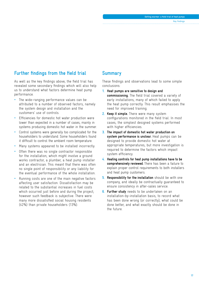# **Further findings from the field trial**

As well as the key findings above, the field trial has revealed some secondary findings which will also help us to understand what factors determine heat pump performance.

- The wide-ranging performance values can be attributed to a number of observed factors, namely the system design and installation and the customers' use of controls.
- Efficiencies for domestic hot water production were lower than expected in a number of cases, mainly in systems producing domestic hot water in the summer.
- Control systems were generally too complicated for the householders to understand. Some householders found it difficult to control the ambient room temperature.
- Many systems appeared to be installed incorrectly.
- Often there was no single contractor responsible for the installation, which might involve a ground works contractor, a plumber, a heat pump installer and an electrician. This meant that there was often no single point of responsibility or any liability for the eventual performance of the whole installation.
- Running costs are one of the main negative factors affecting user satisfaction. Dissatisfaction may be related to the substantial increases in fuel costs which occurred just before and during the project; however such feedback is subjective. There were many more dissatisfied social housing residents (42%) than private householders (13%).

# **Summary**

These findings and observations lead to some simple conclusions:

- **1. Heat pumps are sensitive to design and commissioning.** The field trial covered a variety of early installations, many of which failed to apply the heat pump correctly. This result emphasises the need for improved training.
- **2. Keep it simple.** There were many system configurations monitored in the field trial. In most cases, the simplest designed systems performed with higher efficiencies.
- **3. The impact of domestic hot water production on system performance is unclear.** Heat pumps can be designed to provide domestic hot water at appropriate temperatures, but more investigation is required to determine the factors which impact system efficiency.
- **4. Heating controls for heat pump installations have to be comprehensively reviewed.** There has been a failure to explain proper control requirements to both installers and heat pump customers.
- **5. Responsibility for the installation** should be with one company, and ideally be contractually guaranteed to ensure consistency in after-sales service.
- **6. Further study** needs to be undertaken on an installation-by-installation basis, to record what has been done wrong (or correctly), what could be done better, and what exactly should be done in the future.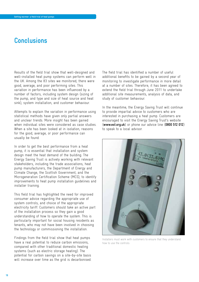# **Conclusions**

Results of the field trial show that well-designed and well-installed heat pump systems can perform well in the UK. Among the 83 sites we monitored, there were good, average, and poor performing sites. This variation in performance has been influenced by a number of factors, including system design (sizing of the pump, and type and size of heat source and heat sink), system installation, and customer behaviour.

Attempts to explain the variation in performance using statistical methods have given only partial answers and unclear trends. More insight has been gained when individual sites were considered as case studies. When a site has been looked at in isolation, reasons for the good, average, or poor performance can usually be found.

In order to get the best performance from a heat pump, it is essential that installation and system design meet the heat demand of the building. The Energy Saving Trust is actively working with relevant stakeholders, including the trade associations, heat pump manufacturers, the Department of Energy and Climate Change, the Scottish Government, and the Microgeneration Certification Scheme (MCS), to identify improvements to heat pump installation guidelines and installer training.

This field trial has highlighted the need for improved consumer advice regarding the appropriate use of system controls, and choice of the appropriate electricity tariff. Customers should take an active part of the installation process so they gain a good understanding of how to operate the system. This is particularly important for social housing residents as tenants, who may not have been involved in choosing the technology or commissioning the installation.

Findings from the field trial show that heat pumps have a real potential to reduce carbon emissions, compared with other traditional domestic heating systems (such as electric storage heating). The potential for carbon savings on a site-by-site basis will increase over time as the grid is decarbonised. The field trial has identified a number of useful additional benefits to be gained by a second year of monitoring to investigate performance in more detail at a number of sites. Therefore, it has been agreed to extend the field trial through June 2011 to undertake additional site measurements, analysis of data, and study of customer behaviour.

In the meantime, the Energy Saving Trust will continue to provide impartial advice to customers who are interested in purchasing a heat pump. Customers are encouraged to visit the Energy Saving Trust's website (**www.est.org.uk**) or phone our advice line (**0800 512 012**) to speak to a local advisor.



Installers must work with customers to ensure that they understand how to use the controls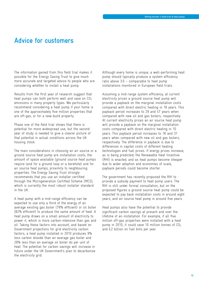# **Advice for customers**

The information gained from this field trial makes it possible for the Energy Saving Trust to give much more accurate and targeted advice to people who are considering whether to install a heat pump.

Results from the first year of research suggest that heat pumps can both perform well and save on  $CO<sub>2</sub>$ emissions in many property types. We particularly recommend considering a heat pump if your home is one of the approximately five million properties that are off-gas, or for a new-build property.

Phase one of the field trial shows that there is potential for more widespread use, but the second year of study is needed to give a clearer picture of that potential in actual conditions across the UK housing stock.

The main considerations in choosing an air source or a ground source heat pump are installation costs; the amount of space available (ground source heat pumps require land for a ground loop or a borehole) and for air source heat pumps, proximity to neighbouring properties. The Energy Saving Trust strongly recommends that you use an installer certified through the Microgeneration Certified Scheme (MCS), which is currently the most robust installer standard in the UK.

A heat pump with a mid-range efficiency can be expected to use only a third of the energy of an average existing gas boiler (78% efficient) or oil boiler (82% efficient) to produce the same amount of heat. A heat pump draws on a small amount of electricity to power it, which is more carbon-intensive than gas and oil. Taking these factors into account, and based on Government projections for grid electricity carbon factors, a heat pump installed in 2010 produces 9% less carbon dioxide than an average gas boiler and 28% less than an average oil boiler do per unit of heat. The potential for carbon savings will increase in future under the UK Government's plan to decarbonise the electricity grid.

Although every home is unique, a well-performing heat pump should typically produce a system efficiency ratio above 3.0 – comparable to heat pump installations monitored in European field trials.

Assuming a mid-range system efficiency, at current electricity prices a ground source heat pump will provide a payback on the marginal installation costs compared with direct electric heating in 18 years. This payback period increases to 29 and 47 years when compared with new oil and gas boilers, respectively. At current electricity prices an air source heat pump will provide a payback on the marginal installation costs compared with direct electric heating in 10 years. This payback period increases to 16 and 31 years when compared with new oil and gas boilers, respectively. The difference in payback is due to differences in capital costs of different heating technologies and fuel prices. If energy prices increase, as is being predicted; the Renewable Heat Incentive (RHI) is enacted; and as heat pumps become cheaper due to wider adoption and economies of scale, payback periods could become shorter.

The government has recently proposed the RHI to provide a subsidy payment to heat pump users. The RHI is still under formal consultation, but on the proposed figures a ground source heat pump could be expected to pay back installation costs in around eight years, and air source heat pump in around five years.

Heat pumps also have the potential to provide significant carbon savings at present and over the lifetime of an installation. For example, if all five million off-gas properties were installed with a heat pump in 2010, it could save 10 million tonnes of CO<sub>2</sub> and £2 billion on fuel bills per year.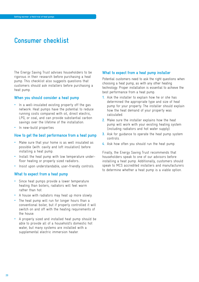# **Consumer checklist**

The Energy Saving Trust advises householders to be rigorous in their research before purchasing a heat pump. This checklist also suggests questions that customers should ask installers before purchasing a heat pump.

#### **When you should consider a heat pump**

- In a well-insulated existing property off the gas network. Heat pumps have the potential to reduce running costs compared with oil, direct electric, LPG, or coal, and can provide substantial carbon savings over the lifetime of the installation.
- In new-build properties

#### **How to get the best performance from a heat pump**

- Make sure that your home is as well insulated as possible (with. cavity and loft insulation) before installing a heat pump.
- Install the heat pump with low temperature underfloor heating or properly sized radiators..
- Insist upon understandable, user-friendly controls.

## **What to expect from a heat pump**

- Since heat pumps provide a lower temperature heating than boilers, radiators will feel warm rather than hot.
- A house with radiators may heat up more slowly.
- The heat pump will run for longer hours than a conventional boiler, but if properly controlled it will switch on and off with the heating requirements of the house.
- A properly sized and installed heat pump should be able to provide all of a household's domestic hot water, but many systems are installed with a supplemental electric immersion heater.

## **What to expect from a heat pump installer**

Potential customers need to ask the right questions when choosing a heat pump, as with any other heating technology. Proper installation is essential to achieve the best performance from a heat pump.

- **1.** Ask the installer to explain how he or she has determined the appropriate type and size of heat pump for your property. The installer should explain how the heat demand of your property was calculated.
- **2.** Make sure the installer explains how the heat pump will work with your existing heating system (including radiators and hot water supply).
- **3.** Ask for guidance to operate the heat pump system controls.
- **4.** Ask how often you should run the heat pump.

Finally, the Energy Saving Trust recommends that householders speak to one of our advisors before installing a heat pump. Additionally, customers should speak to MCS accredited installers and manufacturers to determine whether a heat pump is a viable option.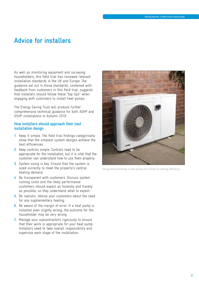# **Advice for installers**

As well as monitoring equipment and surveying householders, this field trial has reviewed relevant installation standards in the UK and Europe. The guidance set out in those standards, combined with feedback from customers in this field trial, suggests that installers should follow these "top tips" when engaging with customers to install heat pumps.

The Energy Saving Trust will produce further comprehensive technical guidance for both ASHP and GSHP installations in Autumn 2010.

#### **How installers should approach their next installation design**

- **1.** Keep it simple. The field trial findings categorically show that the simplest system designs achieve the best efficiencies.
- **2.** Keep controls simple. Controls need to be appropriate for the installation, but it is vital that the customer can understand how to use them properly.
- **3.** System sizing is key. Ensure that the system is sized correctly to meet the property's central heating demand.
- **4.** Be transparent with customers. Discuss system running costs and the likely performance customers should expect as honestly and frankly as possible, so they understand what to expect.
- **5.** Be realistic. Advise your customers about the need for any supplementary heating.
- **6.** Be aware of the margin of error. If a heat pump is installed even slightly wrong, the outcome for the householder may be very wrong.
- **7.** Manage your subcontractors rigorously to ensure that their work is appropriate for your heat pump. Installers need to take overall responsibility and supervise each stage of the installation.



Sizing and positioning a heat pump are critical to running efficiency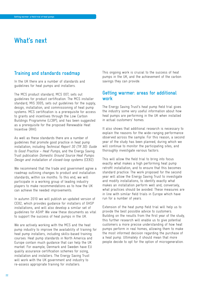# **What's next**

# **Training and standards roadmap**

In the UK there are a number of standards and guidelines for heat pumps and installers.

The MCS product standard, MCS 007, sets out guidelines for product certification. The MCS installer standard, MIS 3005, sets out guidelines for the supply, design, installation, and commissioning of heat pump systems. MCS certification is a prerequisite for access to grants and incentives through the Low Carbon Buildings Programme (LCBP), and has been suggested as a prerequisite for the proposed Renewable Heat Incentive (RHI).

As well as these standards there are a number of guidelines that promote good practice in heat pump installation, including Technical Report 30 (TR 30): Guide to Good Practice – Heat Pumps, and the Energy Saving Trust publication Domestic Ground Source Heat Pumps: Design and installation of closed-loop systems (CE82).

We recommend that the trade and government agree a roadmap outlining changes to product and installation standards, within six months. To this end, we will participate in a working group of leading industry players to make recommendations as to how the UK can achieve the needed improvements.

In autumn 2010 we will publish an updated version of CE82, which provides guidance for installers of GHSP installations, and will also develop a similar set of guidelines for ASHP. We view these documents as vital to support the success of heat pumps in the UK.

We are actively working with the MCS and the heat pump industry to improve the availability of training for heat pump installers, including skills-based training courses. Heat pump standards in North America and Europe contain much guidance that can help the UK market. For example, Denmark and Sweden have EU quality assurance certification schemes for sizing, installation and installers. The Energy Saving Trust will work with the UK government and industry to re-assess appropriate training for installers.

This ongoing work is crucial to the success of heat pumps in the UK, and the achievement of the carbon savings they can provide.

# **Getting warmer: areas for additional work**

The Energy Saving Trust's heat pump field trial gives the industry some very useful information about how heat pumps are performing in the UK when installed in actual customers' homes.

It also shows that additional research is necessary to explain the reasons for the wide-ranging performance observed across the sample. For this reason, a second year of the study has been planned, during which we will continue to monitor the participating sites, and thoroughly investigate various factors.

This will allow the field trial to bring into focus exactly what makes a high performing heat pump retrofit installation, and to ensure that this becomes standard practice. The work proposed for the second year will allow the Energy Saving Trust to investigate and modify installations, to identify exactly what makes an installation perform well and, conversely, what practices should be avoided. These measures are in line with similar field trials in Europe which have run for a number of years.

Extension of the heat pump field trial will help us to provide the best possible advice to customers. Building on the results from the first year of the study, this further research will enable us to give potential customers a more precise understanding of how heat pumps perform in real homes, allowing them to make the most informed decision regarding the purchase of a heat pump. Ultimately it should mean that more people decide to opt for the option of microgeneration.